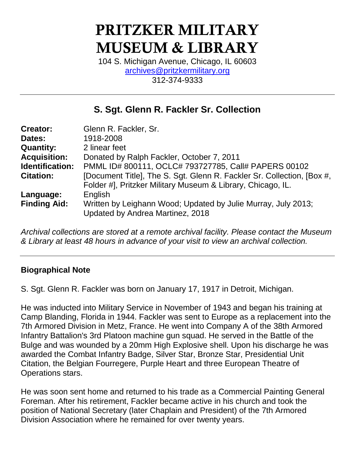# **PRITZKER MILITARY MUSEUM & LIBRARY**

104 S. Michigan Avenue, Chicago, IL 60603 [archives@pritzkermilitary.org](mailto:archives@pritzkermilitary.org) 312-374-9333

## **S. Sgt. Glenn R. Fackler Sr. Collection**

| <b>Creator:</b>     | Glenn R. Fackler, Sr.                                                                             |
|---------------------|---------------------------------------------------------------------------------------------------|
| Dates:              | 1918-2008                                                                                         |
| <b>Quantity:</b>    | 2 linear feet                                                                                     |
| <b>Acquisition:</b> | Donated by Ralph Fackler, October 7, 2011                                                         |
| Identification:     | PMML ID# 800111, OCLC# 793727785, Call# PAPERS 00102                                              |
| <b>Citation:</b>    | [Document Title], The S. Sgt. Glenn R. Fackler Sr. Collection, [Box #,                            |
|                     | Folder #], Pritzker Military Museum & Library, Chicago, IL.                                       |
| Language:           | English                                                                                           |
| <b>Finding Aid:</b> | Written by Leighann Wood; Updated by Julie Murray, July 2013;<br>Updated by Andrea Martinez, 2018 |

*Archival collections are stored at a remote archival facility. Please contact the Museum & Library at least 48 hours in advance of your visit to view an archival collection.*

## **Biographical Note**

S. Sgt. Glenn R. Fackler was born on January 17, 1917 in Detroit, Michigan.

He was inducted into Military Service in November of 1943 and began his training at Camp Blanding, Florida in 1944. Fackler was sent to Europe as a replacement into the 7th Armored Division in Metz, France. He went into Company A of the 38th Armored Infantry Battalion's 3rd Platoon machine gun squad. He served in the Battle of the Bulge and was wounded by a 20mm High Explosive shell. Upon his discharge he was awarded the Combat Infantry Badge, Silver Star, Bronze Star, Presidential Unit Citation, the Belgian Fourregere, Purple Heart and three European Theatre of Operations stars.

He was soon sent home and returned to his trade as a Commercial Painting General Foreman. After his retirement, Fackler became active in his church and took the position of National Secretary (later Chaplain and President) of the 7th Armored Division Association where he remained for over twenty years.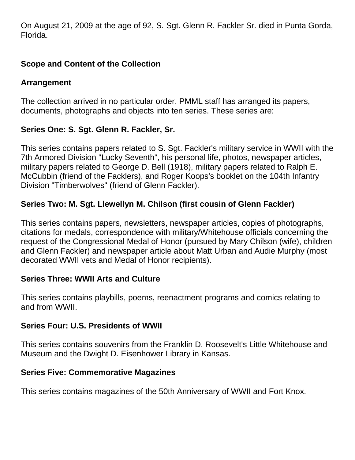On August 21, 2009 at the age of 92, S. Sgt. Glenn R. Fackler Sr. died in Punta Gorda, Florida.

## **Scope and Content of the Collection**

## **Arrangement**

The collection arrived in no particular order. PMML staff has arranged its papers, documents, photographs and objects into ten series. These series are:

## **Series One: S. Sgt. Glenn R. Fackler, Sr.**

This series contains papers related to S. Sgt. Fackler's military service in WWII with the 7th Armored Division "Lucky Seventh", his personal life, photos, newspaper articles, military papers related to George D. Bell (1918), military papers related to Ralph E. McCubbin (friend of the Facklers), and Roger Koops's booklet on the 104th Infantry Division "Timberwolves" (friend of Glenn Fackler).

## **Series Two: M. Sgt. Llewellyn M. Chilson (first cousin of Glenn Fackler)**

This series contains papers, newsletters, newspaper articles, copies of photographs, citations for medals, correspondence with military/Whitehouse officials concerning the request of the Congressional Medal of Honor (pursued by Mary Chilson (wife), children and Glenn Fackler) and newspaper article about Matt Urban and Audie Murphy (most decorated WWII vets and Medal of Honor recipients).

#### **Series Three: WWII Arts and Culture**

This series contains playbills, poems, reenactment programs and comics relating to and from WWII.

#### **Series Four: U.S. Presidents of WWII**

This series contains souvenirs from the Franklin D. Roosevelt's Little Whitehouse and Museum and the Dwight D. Eisenhower Library in Kansas.

#### **Series Five: Commemorative Magazines**

This series contains magazines of the 50th Anniversary of WWII and Fort Knox.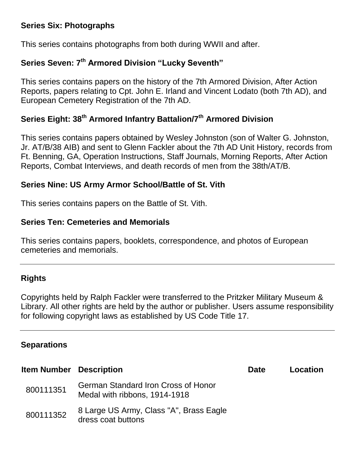#### **Series Six: Photographs**

This series contains photographs from both during WWII and after.

## **Series Seven: 7th Armored Division "Lucky Seventh"**

This series contains papers on the history of the 7th Armored Division, After Action Reports, papers relating to Cpt. John E. Irland and Vincent Lodato (both 7th AD), and European Cemetery Registration of the 7th AD.

## **Series Eight: 38th Armored Infantry Battalion/7th Armored Division**

This series contains papers obtained by Wesley Johnston (son of Walter G. Johnston, Jr. AT/B/38 AIB) and sent to Glenn Fackler about the 7th AD Unit History, records from Ft. Benning, GA, Operation Instructions, Staff Journals, Morning Reports, After Action Reports, Combat Interviews, and death records of men from the 38th/AT/B.

#### **Series Nine: US Army Armor School/Battle of St. Vith**

This series contains papers on the Battle of St. Vith.

#### **Series Ten: Cemeteries and Memorials**

This series contains papers, booklets, correspondence, and photos of European cemeteries and memorials.

#### **Rights**

Copyrights held by Ralph Fackler were transferred to the Pritzker Military Museum & Library. All other rights are held by the author or publisher. Users assume responsibility for following copyright laws as established by US Code Title 17.

#### **Separations**

| <b>Item Number</b> Description |                                                                      | <b>Date</b> | Location |
|--------------------------------|----------------------------------------------------------------------|-------------|----------|
| 800111351                      | German Standard Iron Cross of Honor<br>Medal with ribbons, 1914-1918 |             |          |
| 800111352                      | 8 Large US Army, Class "A", Brass Eagle<br>dress coat buttons        |             |          |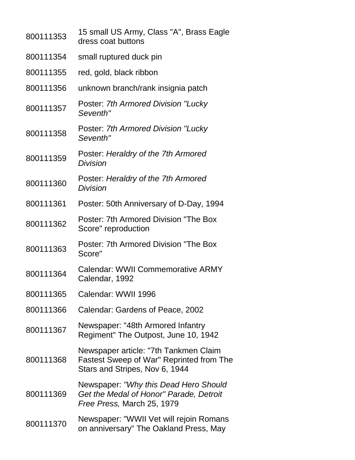| 800111353 | 15 small US Army, Class "A", Brass Eagle<br>dress coat buttons                                                      |
|-----------|---------------------------------------------------------------------------------------------------------------------|
| 800111354 | small ruptured duck pin                                                                                             |
| 800111355 | red, gold, black ribbon                                                                                             |
| 800111356 | unknown branch/rank insignia patch                                                                                  |
| 800111357 | Poster: 7th Armored Division "Lucky"<br>Seventh"                                                                    |
| 800111358 | Poster: 7th Armored Division "Lucky<br>Seventh"                                                                     |
| 800111359 | Poster: Heraldry of the 7th Armored<br>Division                                                                     |
| 800111360 | Poster: Heraldry of the 7th Armored<br>Division                                                                     |
| 800111361 | Poster: 50th Anniversary of D-Day, 1994                                                                             |
| 800111362 | Poster: 7th Armored Division "The Box<br>Score" reproduction                                                        |
| 800111363 | Poster: 7th Armored Division "The Box<br>Score"                                                                     |
| 800111364 | Calendar: WWII Commemorative ARMY<br>Calendar, 1992                                                                 |
| 800111365 | Calendar: WWII 1996                                                                                                 |
| 800111366 | Calendar: Gardens of Peace, 2002                                                                                    |
| 800111367 | Newspaper: "48th Armored Infantry<br>Regiment" The Outpost, June 10, 1942                                           |
| 800111368 | Newspaper article: "7th Tankmen Claim<br>Fastest Sweep of War" Reprinted from The<br>Stars and Stripes, Nov 6, 1944 |
| 800111369 | Newspaper: "Why this Dead Hero Should<br>Get the Medal of Honor" Parade, Detroit<br>Free Press, March 25, 1979      |
| 800111370 | Newspaper: "WWII Vet will rejoin Romans<br>on anniversary" The Oakland Press, May                                   |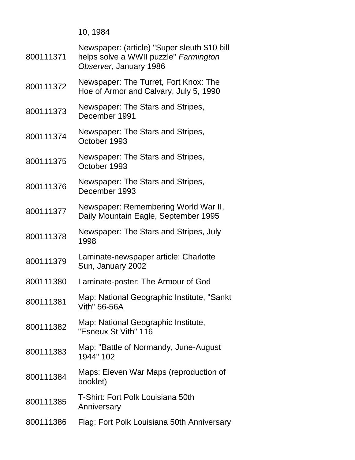| 10, | 1984 |
|-----|------|
|-----|------|

| 800111371 | Newspaper: (article) "Super sleuth \$10 bill<br>helps solve a WWII puzzle" Farmington<br>Observer, January 1986 |
|-----------|-----------------------------------------------------------------------------------------------------------------|
| 800111372 | Newspaper: The Turret, Fort Knox: The<br>Hoe of Armor and Calvary, July 5, 1990                                 |
| 800111373 | Newspaper: The Stars and Stripes,<br>December 1991                                                              |
| 800111374 | Newspaper: The Stars and Stripes,<br>October 1993                                                               |
| 800111375 | Newspaper: The Stars and Stripes,<br>October 1993                                                               |
| 800111376 | Newspaper: The Stars and Stripes,<br>December 1993                                                              |
| 800111377 | Newspaper: Remembering World War II,<br>Daily Mountain Eagle, September 1995                                    |
| 800111378 | Newspaper: The Stars and Stripes, July<br>1998                                                                  |
| 800111379 | Laminate-newspaper article: Charlotte<br>Sun, January 2002                                                      |
| 800111380 | Laminate-poster: The Armour of God                                                                              |
| 800111381 | Map: National Geographic Institute, "Sankt<br><b>Vith" 56-56A</b>                                               |
| 800111382 | Map: National Geographic Institute,<br>"Esneux St Vith" 116                                                     |
| 800111383 | Map: "Battle of Normandy, June-August<br>1944" 102                                                              |
| 800111384 | Maps: Eleven War Maps (reproduction of<br>booklet)                                                              |
| 800111385 | T-Shirt: Fort Polk Louisiana 50th<br>Anniversary                                                                |
| 800111386 | Flag: Fort Polk Louisiana 50th Anniversary                                                                      |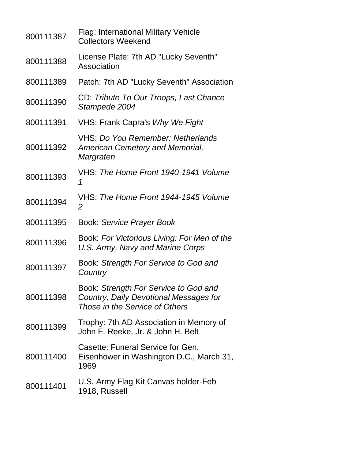| 800111387 | <b>Flag: International Military Vehicle</b><br><b>Collectors Weekend</b>                                          |
|-----------|-------------------------------------------------------------------------------------------------------------------|
| 800111388 | License Plate: 7th AD "Lucky Seventh"<br>Association                                                              |
| 800111389 | Patch: 7th AD "Lucky Seventh" Association                                                                         |
| 800111390 | CD: Tribute To Our Troops, Last Chance<br>Stampede 2004                                                           |
| 800111391 | VHS: Frank Capra's Why We Fight                                                                                   |
| 800111392 | VHS: Do You Remember: Netherlands<br><b>American Cemetery and Memorial,</b><br>Margraten                          |
| 800111393 | VHS: The Home Front 1940-1941 Volume<br>1                                                                         |
| 800111394 | VHS: The Home Front 1944-1945 Volume<br>2                                                                         |
| 800111395 | Book: Service Prayer Book                                                                                         |
| 800111396 | Book: For Victorious Living: For Men of the<br>U.S. Army, Navy and Marine Corps                                   |
| 800111397 | Book: Strength For Service to God and<br>Country                                                                  |
| 800111398 | Book: Strength For Service to God and<br>Country, Daily Devotional Messages for<br>Those in the Service of Others |
| 800111399 | Trophy: 7th AD Association in Memory of<br>John F. Reeke, Jr. & John H. Belt                                      |
| 800111400 | Casette: Funeral Service for Gen.<br>Eisenhower in Washington D.C., March 31,<br>1969                             |
| 800111401 | U.S. Army Flag Kit Canvas holder-Feb<br>1918, Russell                                                             |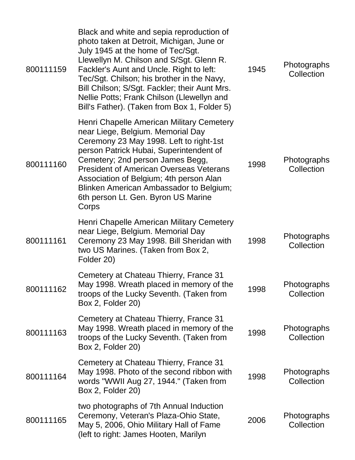| 800111159 | Black and white and sepia reproduction of<br>photo taken at Detroit, Michigan, June or<br>July 1945 at the home of Tec/Sgt.<br>Llewellyn M. Chilson and S/Sgt. Glenn R.<br>Fackler's Aunt and Uncle. Right to left:<br>Tec/Sgt. Chilson; his brother in the Navy,<br>Bill Chilson; S/Sgt. Fackler; their Aunt Mrs.<br>Nellie Potts; Frank Chilson (Llewellyn and<br>Bill's Father). (Taken from Box 1, Folder 5) | 1945 | Photographs<br>Collection |
|-----------|------------------------------------------------------------------------------------------------------------------------------------------------------------------------------------------------------------------------------------------------------------------------------------------------------------------------------------------------------------------------------------------------------------------|------|---------------------------|
| 800111160 | Henri Chapelle American Military Cemetery<br>near Liege, Belgium. Memorial Day<br>Ceremony 23 May 1998. Left to right-1st<br>person Patrick Hubai, Superintendent of<br>Cemetery; 2nd person James Begg,<br><b>President of American Overseas Veterans</b><br>Association of Belgium; 4th person Alan<br>Blinken American Ambassador to Belgium;<br>6th person Lt. Gen. Byron US Marine<br>Corps                 | 1998 | Photographs<br>Collection |
| 800111161 | Henri Chapelle American Military Cemetery<br>near Liege, Belgium. Memorial Day<br>Ceremony 23 May 1998. Bill Sheridan with<br>two US Marines. (Taken from Box 2,<br>Folder 20)                                                                                                                                                                                                                                   | 1998 | Photographs<br>Collection |
| 800111162 | Cemetery at Chateau Thierry, France 31<br>May 1998. Wreath placed in memory of the<br>troops of the Lucky Seventh. (Taken from<br>Box 2, Folder 20)                                                                                                                                                                                                                                                              | 1998 | Photographs<br>Collection |
| 800111163 | Cemetery at Chateau Thierry, France 31<br>May 1998. Wreath placed in memory of the<br>troops of the Lucky Seventh. (Taken from<br>Box 2, Folder 20)                                                                                                                                                                                                                                                              | 1998 | Photographs<br>Collection |
| 800111164 | Cemetery at Chateau Thierry, France 31<br>May 1998. Photo of the second ribbon with<br>words "WWII Aug 27, 1944." (Taken from<br>Box 2, Folder 20)                                                                                                                                                                                                                                                               | 1998 | Photographs<br>Collection |
| 800111165 | two photographs of 7th Annual Induction<br>Ceremony, Veteran's Plaza-Ohio State,<br>May 5, 2006, Ohio Military Hall of Fame<br>(left to right: James Hooten, Marilyn                                                                                                                                                                                                                                             | 2006 | Photographs<br>Collection |
|           |                                                                                                                                                                                                                                                                                                                                                                                                                  |      |                           |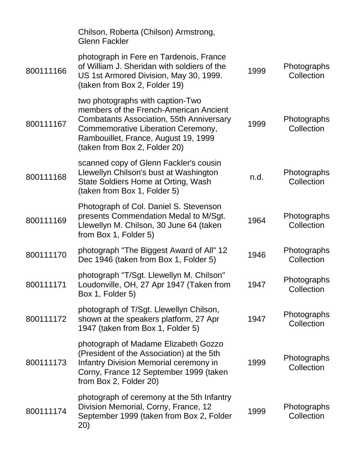|           | Chilson, Roberta (Chilson) Armstrong,<br><b>Glenn Fackler</b>                                                                                                                                                                                |      |                           |
|-----------|----------------------------------------------------------------------------------------------------------------------------------------------------------------------------------------------------------------------------------------------|------|---------------------------|
| 800111166 | photograph in Fere en Tardenois, France<br>of William J. Sheridan with soldiers of the<br>US 1st Armored Division, May 30, 1999.<br>(taken from Box 2, Folder 19)                                                                            | 1999 | Photographs<br>Collection |
| 800111167 | two photographs with caption-Two<br>members of the French-American Ancient<br><b>Combatants Association, 55th Anniversary</b><br>Commemorative Liberation Ceremony,<br>Rambouillet, France, August 19, 1999<br>(taken from Box 2, Folder 20) | 1999 | Photographs<br>Collection |
| 800111168 | scanned copy of Glenn Fackler's cousin<br>Llewellyn Chilson's bust at Washington<br>State Soldiers Home at Orting, Wash<br>(taken from Box 1, Folder 5)                                                                                      | n.d. | Photographs<br>Collection |
| 800111169 | Photograph of Col. Daniel S. Stevenson<br>presents Commendation Medal to M/Sgt.<br>Llewellyn M. Chilson, 30 June 64 (taken<br>from Box 1, Folder 5)                                                                                          | 1964 | Photographs<br>Collection |
| 800111170 | photograph "The Biggest Award of All" 12<br>Dec 1946 (taken from Box 1, Folder 5)                                                                                                                                                            | 1946 | Photographs<br>Collection |
| 800111171 | photograph "T/Sgt. Llewellyn M. Chilson"<br>Loudonville, OH, 27 Apr 1947 (Taken from<br>Box 1, Folder 5)                                                                                                                                     | 1947 | Photographs<br>Collection |
| 800111172 | photograph of T/Sgt. Llewellyn Chilson,<br>shown at the speakers platform, 27 Apr<br>1947 (taken from Box 1, Folder 5)                                                                                                                       | 1947 | Photographs<br>Collection |
| 800111173 | photograph of Madame Elizabeth Gozzo<br>(President of the Association) at the 5th<br>Infantry Division Memorial ceremony in<br>Corny, France 12 September 1999 (taken<br>from Box 2, Folder 20)                                              | 1999 | Photographs<br>Collection |
| 800111174 | photograph of ceremony at the 5th Infantry<br>Division Memorial, Corny, France, 12<br>September 1999 (taken from Box 2, Folder<br>20)                                                                                                        | 1999 | Photographs<br>Collection |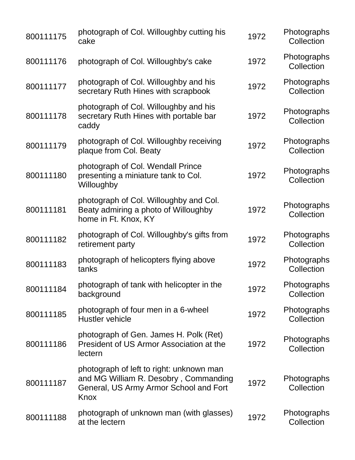| 800111175 | photograph of Col. Willoughby cutting his<br>cake                                                                                   | 1972 | Photographs<br>Collection |
|-----------|-------------------------------------------------------------------------------------------------------------------------------------|------|---------------------------|
| 800111176 | photograph of Col. Willoughby's cake                                                                                                | 1972 | Photographs<br>Collection |
| 800111177 | photograph of Col. Willoughby and his<br>secretary Ruth Hines with scrapbook                                                        | 1972 | Photographs<br>Collection |
| 800111178 | photograph of Col. Willoughby and his<br>secretary Ruth Hines with portable bar<br>caddy                                            | 1972 | Photographs<br>Collection |
| 800111179 | photograph of Col. Willoughby receiving<br>plaque from Col. Beaty                                                                   | 1972 | Photographs<br>Collection |
| 800111180 | photograph of Col. Wendall Prince<br>presenting a miniature tank to Col.<br>Willoughby                                              | 1972 | Photographs<br>Collection |
| 800111181 | photograph of Col. Willoughby and Col.<br>Beaty admiring a photo of Willoughby<br>home in Ft. Knox, KY                              | 1972 | Photographs<br>Collection |
| 800111182 | photograph of Col. Willoughby's gifts from<br>retirement party                                                                      | 1972 | Photographs<br>Collection |
| 800111183 | photograph of helicopters flying above<br>tanks                                                                                     | 1972 | Photographs<br>Collection |
| 800111184 | photograph of tank with helicopter in the<br>background                                                                             | 1972 | Photographs<br>Collection |
| 800111185 | photograph of four men in a 6-wheel<br><b>Hustler vehicle</b>                                                                       | 1972 | Photographs<br>Collection |
| 800111186 | photograph of Gen. James H. Polk (Ret)<br>President of US Armor Association at the<br>lectern                                       | 1972 | Photographs<br>Collection |
| 800111187 | photograph of left to right: unknown man<br>and MG William R. Desobry, Commanding<br>General, US Army Armor School and Fort<br>Knox | 1972 | Photographs<br>Collection |
| 800111188 | photograph of unknown man (with glasses)<br>at the lectern                                                                          | 1972 | Photographs<br>Collection |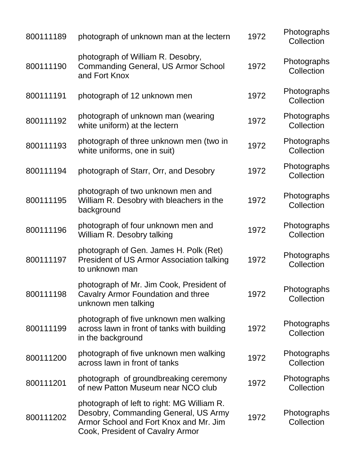| 800111189 | photograph of unknown man at the lectern                                                                                                                         | 1972 | Photographs<br>Collection |
|-----------|------------------------------------------------------------------------------------------------------------------------------------------------------------------|------|---------------------------|
| 800111190 | photograph of William R. Desobry,<br><b>Commanding General, US Armor School</b><br>and Fort Knox                                                                 | 1972 | Photographs<br>Collection |
| 800111191 | photograph of 12 unknown men                                                                                                                                     | 1972 | Photographs<br>Collection |
| 800111192 | photograph of unknown man (wearing<br>white uniform) at the lectern                                                                                              | 1972 | Photographs<br>Collection |
| 800111193 | photograph of three unknown men (two in<br>white uniforms, one in suit)                                                                                          | 1972 | Photographs<br>Collection |
| 800111194 | photograph of Starr, Orr, and Desobry                                                                                                                            | 1972 | Photographs<br>Collection |
| 800111195 | photograph of two unknown men and<br>William R. Desobry with bleachers in the<br>background                                                                      | 1972 | Photographs<br>Collection |
| 800111196 | photograph of four unknown men and<br>William R. Desobry talking                                                                                                 | 1972 | Photographs<br>Collection |
| 800111197 | photograph of Gen. James H. Polk (Ret)<br>President of US Armor Association talking<br>to unknown man                                                            | 1972 | Photographs<br>Collection |
| 800111198 | photograph of Mr. Jim Cook, President of<br>Cavalry Armor Foundation and three<br>unknown men talking                                                            | 1972 | Photographs<br>Collection |
| 800111199 | photograph of five unknown men walking<br>across lawn in front of tanks with building<br>in the background                                                       | 1972 | Photographs<br>Collection |
| 800111200 | photograph of five unknown men walking<br>across lawn in front of tanks                                                                                          | 1972 | Photographs<br>Collection |
| 800111201 | photograph of groundbreaking ceremony<br>of new Patton Museum near NCO club                                                                                      | 1972 | Photographs<br>Collection |
| 800111202 | photograph of left to right: MG William R.<br>Desobry, Commanding General, US Army<br>Armor School and Fort Knox and Mr. Jim<br>Cook, President of Cavalry Armor | 1972 | Photographs<br>Collection |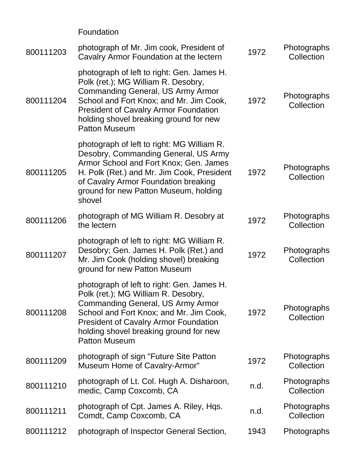Foundation

| 800111203 | photograph of Mr. Jim cook, President of<br>Cavalry Armor Foundation at the lectern                                                                                                                                                                                                        | 1972 | Photographs<br>Collection |
|-----------|--------------------------------------------------------------------------------------------------------------------------------------------------------------------------------------------------------------------------------------------------------------------------------------------|------|---------------------------|
| 800111204 | photograph of left to right: Gen. James H.<br>Polk (ret.); MG William R. Desobry,<br><b>Commanding General, US Army Armor</b><br>School and Fort Knox; and Mr. Jim Cook,<br><b>President of Cavalry Armor Foundation</b><br>holding shovel breaking ground for new<br><b>Patton Museum</b> | 1972 | Photographs<br>Collection |
| 800111205 | photograph of left to right: MG William R.<br>Desobry, Commanding General, US Army<br>Armor School and Fort Knox; Gen. James<br>H. Polk (Ret.) and Mr. Jim Cook, President<br>of Cavalry Armor Foundation breaking<br>ground for new Patton Museum, holding<br>shovel                      | 1972 | Photographs<br>Collection |
| 800111206 | photograph of MG William R. Desobry at<br>the lectern                                                                                                                                                                                                                                      | 1972 | Photographs<br>Collection |
| 800111207 | photograph of left to right: MG William R.<br>Desobry; Gen. James H. Polk (Ret.) and<br>Mr. Jim Cook (holding shovel) breaking<br>ground for new Patton Museum                                                                                                                             | 1972 | Photographs<br>Collection |
| 800111208 | photograph of left to right: Gen. James H.<br>Polk (ret.); MG William R. Desobry,<br><b>Commanding General, US Army Armor</b><br>School and Fort Knox; and Mr. Jim Cook,<br><b>President of Cavalry Armor Foundation</b><br>holding shovel breaking ground for new<br><b>Patton Museum</b> | 1972 | Photographs<br>Collection |
| 800111209 | photograph of sign "Future Site Patton<br>Museum Home of Cavalry-Armor"                                                                                                                                                                                                                    | 1972 | Photographs<br>Collection |
| 800111210 | photograph of Lt. Col. Hugh A. Disharoon,<br>medic, Camp Coxcomb, CA                                                                                                                                                                                                                       | n.d. | Photographs<br>Collection |
| 800111211 | photograph of Cpt. James A. Riley, Hqs.<br>Comdt, Camp Coxcomb, CA                                                                                                                                                                                                                         | n.d. | Photographs<br>Collection |
| 800111212 | photograph of Inspector General Section,                                                                                                                                                                                                                                                   | 1943 | Photographs               |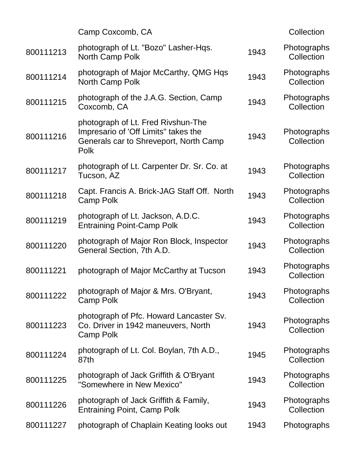|           | Camp Coxcomb, CA                                                                                                                    |      | Collection                |
|-----------|-------------------------------------------------------------------------------------------------------------------------------------|------|---------------------------|
| 800111213 | photograph of Lt. "Bozo" Lasher-Hqs.<br>North Camp Polk                                                                             | 1943 | Photographs<br>Collection |
| 800111214 | photograph of Major McCarthy, QMG Hqs<br>North Camp Polk                                                                            | 1943 | Photographs<br>Collection |
| 800111215 | photograph of the J.A.G. Section, Camp<br>Coxcomb, CA                                                                               | 1943 | Photographs<br>Collection |
| 800111216 | photograph of Lt. Fred Rivshun-The<br>Impresario of 'Off Limits" takes the<br>Generals car to Shreveport, North Camp<br><b>Polk</b> | 1943 | Photographs<br>Collection |
| 800111217 | photograph of Lt. Carpenter Dr. Sr. Co. at<br>Tucson, AZ                                                                            | 1943 | Photographs<br>Collection |
| 800111218 | Capt. Francis A. Brick-JAG Staff Off. North<br>Camp Polk                                                                            | 1943 | Photographs<br>Collection |
| 800111219 | photograph of Lt. Jackson, A.D.C.<br><b>Entraining Point-Camp Polk</b>                                                              | 1943 | Photographs<br>Collection |
| 800111220 | photograph of Major Ron Block, Inspector<br>General Section, 7th A.D.                                                               | 1943 | Photographs<br>Collection |
| 800111221 | photograph of Major McCarthy at Tucson                                                                                              | 1943 | Photographs<br>Collection |
| 800111222 | photograph of Major & Mrs. O'Bryant,<br>Camp Polk                                                                                   | 1943 | Photographs<br>Collection |
| 800111223 | photograph of Pfc. Howard Lancaster Sv.<br>Co. Driver in 1942 maneuvers, North<br>Camp Polk                                         | 1943 | Photographs<br>Collection |
| 800111224 | photograph of Lt. Col. Boylan, 7th A.D.,<br>87th                                                                                    | 1945 | Photographs<br>Collection |
| 800111225 | photograph of Jack Griffith & O'Bryant<br>"Somewhere in New Mexico"                                                                 | 1943 | Photographs<br>Collection |
| 800111226 | photograph of Jack Griffith & Family,<br><b>Entraining Point, Camp Polk</b>                                                         | 1943 | Photographs<br>Collection |
| 800111227 | photograph of Chaplain Keating looks out                                                                                            | 1943 | Photographs               |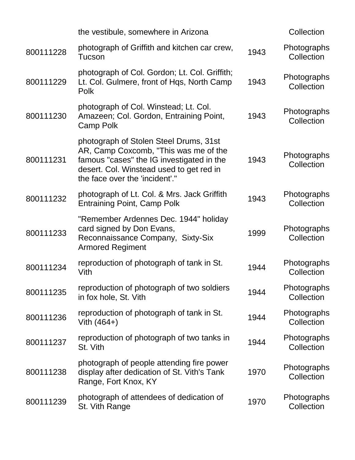|           | the vestibule, somewhere in Arizona                                                                                                                                                                        |      | Collection                |
|-----------|------------------------------------------------------------------------------------------------------------------------------------------------------------------------------------------------------------|------|---------------------------|
| 800111228 | photograph of Griffith and kitchen car crew,<br>Tucson                                                                                                                                                     | 1943 | Photographs<br>Collection |
| 800111229 | photograph of Col. Gordon; Lt. Col. Griffith;<br>Lt. Col. Gulmere, front of Hqs, North Camp<br>Polk                                                                                                        | 1943 | Photographs<br>Collection |
| 800111230 | photograph of Col. Winstead; Lt. Col.<br>Amazeen; Col. Gordon, Entraining Point,<br>Camp Polk                                                                                                              | 1943 | Photographs<br>Collection |
| 800111231 | photograph of Stolen Steel Drums, 31st<br>AR, Camp Coxcomb, "This was me of the<br>famous "cases" the IG investigated in the<br>desert. Col. Winstead used to get red in<br>the face over the 'incident'." | 1943 | Photographs<br>Collection |
| 800111232 | photograph of Lt. Col. & Mrs. Jack Griffith<br><b>Entraining Point, Camp Polk</b>                                                                                                                          | 1943 | Photographs<br>Collection |
| 800111233 | "Remember Ardennes Dec. 1944" holiday<br>card signed by Don Evans,<br>Reconnaissance Company, Sixty-Six<br><b>Armored Regiment</b>                                                                         | 1999 | Photographs<br>Collection |
| 800111234 | reproduction of photograph of tank in St.<br>Vith                                                                                                                                                          | 1944 | Photographs<br>Collection |
| 800111235 | reproduction of photograph of two soldiers<br>in fox hole, St. Vith                                                                                                                                        | 1944 | Photographs<br>Collection |
| 800111236 | reproduction of photograph of tank in St.<br>Vith $(464+)$                                                                                                                                                 | 1944 | Photographs<br>Collection |
| 800111237 | reproduction of photograph of two tanks in<br>St. Vith                                                                                                                                                     | 1944 | Photographs<br>Collection |
| 800111238 | photograph of people attending fire power<br>display after dedication of St. Vith's Tank<br>Range, Fort Knox, KY                                                                                           | 1970 | Photographs<br>Collection |
| 800111239 | photograph of attendees of dedication of<br>St. Vith Range                                                                                                                                                 | 1970 | Photographs<br>Collection |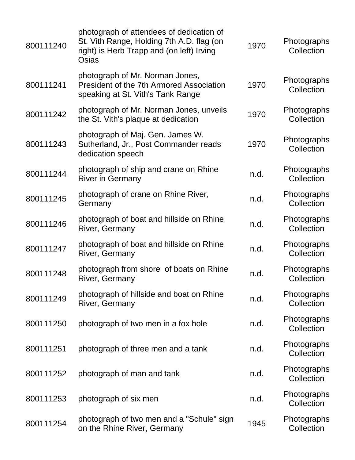| 800111240 | photograph of attendees of dedication of<br>St. Vith Range, Holding 7th A.D. flag (on<br>right) is Herb Trapp and (on left) Irving<br>Osias | 1970 | Photographs<br>Collection |
|-----------|---------------------------------------------------------------------------------------------------------------------------------------------|------|---------------------------|
| 800111241 | photograph of Mr. Norman Jones,<br>President of the 7th Armored Association<br>speaking at St. Vith's Tank Range                            | 1970 | Photographs<br>Collection |
| 800111242 | photograph of Mr. Norman Jones, unveils<br>the St. Vith's plaque at dedication                                                              | 1970 | Photographs<br>Collection |
| 800111243 | photograph of Maj. Gen. James W.<br>Sutherland, Jr., Post Commander reads<br>dedication speech                                              | 1970 | Photographs<br>Collection |
| 800111244 | photograph of ship and crane on Rhine<br><b>River in Germany</b>                                                                            | n.d. | Photographs<br>Collection |
| 800111245 | photograph of crane on Rhine River,<br>Germany                                                                                              | n.d. | Photographs<br>Collection |
| 800111246 | photograph of boat and hillside on Rhine<br>River, Germany                                                                                  | n.d. | Photographs<br>Collection |
| 800111247 | photograph of boat and hillside on Rhine<br>River, Germany                                                                                  | n.d. | Photographs<br>Collection |
| 800111248 | photograph from shore of boats on Rhine<br>River, Germany                                                                                   | n.d. | Photographs<br>Collection |
| 800111249 | photograph of hillside and boat on Rhine<br>River, Germany                                                                                  | n.d. | Photographs<br>Collection |
| 800111250 | photograph of two men in a fox hole                                                                                                         | n.d. | Photographs<br>Collection |
| 800111251 | photograph of three men and a tank                                                                                                          | n.d. | Photographs<br>Collection |
| 800111252 | photograph of man and tank.                                                                                                                 | n.d. | Photographs<br>Collection |
| 800111253 | photograph of six men                                                                                                                       | n.d. | Photographs<br>Collection |
| 800111254 | photograph of two men and a "Schule" sign<br>on the Rhine River, Germany                                                                    | 1945 | Photographs<br>Collection |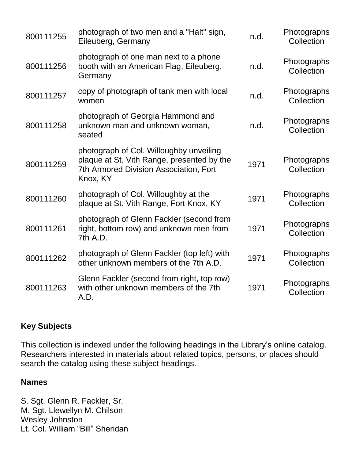| 800111255 | photograph of two men and a "Halt" sign,<br>Eileuberg, Germany                                                                              | n.d. | Photographs<br>Collection |
|-----------|---------------------------------------------------------------------------------------------------------------------------------------------|------|---------------------------|
| 800111256 | photograph of one man next to a phone<br>booth with an American Flag, Eileuberg,<br>Germany                                                 | n.d. | Photographs<br>Collection |
| 800111257 | copy of photograph of tank men with local<br>women                                                                                          | n.d. | Photographs<br>Collection |
| 800111258 | photograph of Georgia Hammond and<br>unknown man and unknown woman,<br>seated                                                               | n.d. | Photographs<br>Collection |
| 800111259 | photograph of Col. Willoughby unveiling<br>plaque at St. Vith Range, presented by the<br>7th Armored Division Association, Fort<br>Knox, KY | 1971 | Photographs<br>Collection |
| 800111260 | photograph of Col. Willoughby at the<br>plaque at St. Vith Range, Fort Knox, KY                                                             | 1971 | Photographs<br>Collection |
| 800111261 | photograph of Glenn Fackler (second from<br>right, bottom row) and unknown men from<br>7th A.D.                                             | 1971 | Photographs<br>Collection |
| 800111262 | photograph of Glenn Fackler (top left) with<br>other unknown members of the 7th A.D.                                                        | 1971 | Photographs<br>Collection |
| 800111263 | Glenn Fackler (second from right, top row)<br>with other unknown members of the 7th<br>A.D.                                                 | 1971 | Photographs<br>Collection |
|           |                                                                                                                                             |      |                           |

#### **Key Subjects**

This collection is indexed under the following headings in the Library's online catalog. Researchers interested in materials about related topics, persons, or places should search the catalog using these subject headings.

#### **Names**

S. Sgt. Glenn R. Fackler, Sr. M. Sgt. Llewellyn M. Chilson Wesley Johnston Lt. Col. William "Bill" Sheridan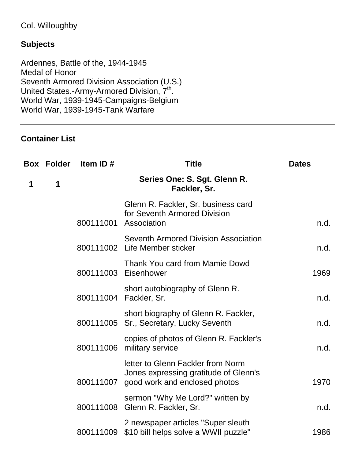## Col. Willoughby

#### **Subjects**

Ardennes, Battle of the, 1944-1945 Medal of Honor Seventh Armored Division Association (U.S.) United States.-Army-Armored Division, 7<sup>th</sup>. World War, 1939-1945-Campaigns-Belgium World War, 1939-1945-Tank Warfare

## **Container List**

|   | <b>Box Folder</b> | Item ID#  | <b>Title</b>                                                                                                          | <b>Dates</b> |
|---|-------------------|-----------|-----------------------------------------------------------------------------------------------------------------------|--------------|
| 1 | 1                 |           | Series One: S. Sgt. Glenn R.<br>Fackler, Sr.                                                                          |              |
|   |                   | 800111001 | Glenn R. Fackler, Sr. business card<br>for Seventh Armored Division<br>Association                                    | n.d.         |
|   |                   |           | Seventh Armored Division Association<br>800111002 Life Member sticker                                                 | n.d.         |
|   |                   |           | Thank You card from Mamie Dowd<br>800111003 Eisenhower                                                                | 1969         |
|   |                   | 800111004 | short autobiography of Glenn R.<br>Fackler, Sr.                                                                       | n.d.         |
|   |                   |           | short biography of Glenn R. Fackler,<br>800111005 Sr., Secretary, Lucky Seventh                                       | n.d.         |
|   |                   |           | copies of photos of Glenn R. Fackler's<br>800111006 military service                                                  | n.d.         |
|   |                   |           | letter to Glenn Fackler from Norm<br>Jones expressing gratitude of Glenn's<br>800111007 good work and enclosed photos | 1970         |
|   |                   | 800111008 | sermon "Why Me Lord?" written by<br>Glenn R. Fackler, Sr.                                                             | n.d.         |
|   |                   |           | 2 newspaper articles "Super sleuth<br>800111009 \$10 bill helps solve a WWII puzzle"                                  | 1986         |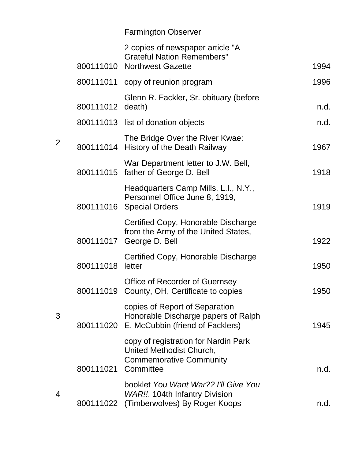|           | 2 copies of newspaper article "A<br><b>Grateful Nation Remembers"</b>                                           |      |
|-----------|-----------------------------------------------------------------------------------------------------------------|------|
|           | 800111010 Northwest Gazette                                                                                     | 1994 |
|           | 800111011 copy of reunion program                                                                               | 1996 |
| 800111012 | Glenn R. Fackler, Sr. obituary (before<br>death)                                                                | n.d. |
|           | 800111013 list of donation objects                                                                              | n.d. |
|           | The Bridge Over the River Kwae:<br>800111014 History of the Death Railway                                       | 1967 |
|           | War Department letter to J.W. Bell,<br>800111015 father of George D. Bell                                       | 1918 |
|           | Headquarters Camp Mills, L.I., N.Y.,<br>Personnel Office June 8, 1919,<br>800111016 Special Orders              | 1919 |
| 800111017 | Certified Copy, Honorable Discharge<br>from the Army of the United States,<br>George D. Bell                    | 1922 |
| 800111018 | Certified Copy, Honorable Discharge<br>letter                                                                   | 1950 |
| 800111019 | <b>Office of Recorder of Guernsey</b><br>County, OH, Certificate to copies                                      | 1950 |
| 800111020 | copies of Report of Separation<br>Honorable Discharge papers of Ralph<br>E. McCubbin (friend of Facklers)       | 1945 |
| 800111021 | copy of registration for Nardin Park<br>United Methodist Church,<br><b>Commemorative Community</b><br>Committee | n.d. |
| 800111022 | booklet You Want War?? I'll Give You<br>WAR!!, 104th Infantry Division<br>(Timberwolves) By Roger Koops         | n.d. |
|           |                                                                                                                 |      |

2

3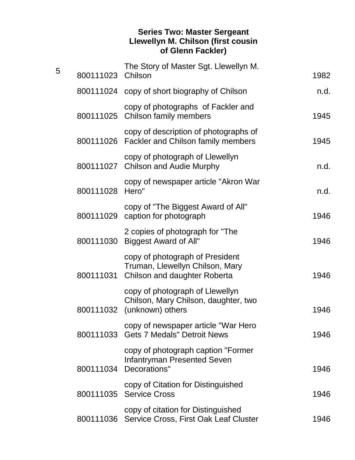#### **Series Two: Master Sergeant Llewellyn M. Chilson (first cousin of Glenn Fackler)**

| 5 | 800111023 Chilson | The Story of Master Sgt. Llewellyn M.                                                                 | 1982 |
|---|-------------------|-------------------------------------------------------------------------------------------------------|------|
|   |                   | 800111024 copy of short biography of Chilson                                                          | n.d. |
|   |                   | copy of photographs of Fackler and<br>800111025 Chilson family members                                | 1945 |
|   |                   | copy of description of photographs of<br>800111026 Fackler and Chilson family members                 | 1945 |
|   |                   | copy of photograph of Llewellyn<br>800111027 Chilson and Audie Murphy                                 | n.d. |
|   | 800111028         | copy of newspaper article "Akron War<br>Hero"                                                         | n.d. |
|   |                   | copy of "The Biggest Award of All"<br>800111029 caption for photograph                                | 1946 |
|   |                   | 2 copies of photograph for "The<br>800111030 Biggest Award of All"                                    | 1946 |
|   | 800111031         | copy of photograph of President<br>Truman, Llewellyn Chilson, Mary<br>Chilson and daughter Roberta    | 1946 |
|   |                   | copy of photograph of Llewellyn<br>Chilson, Mary Chilson, daughter, two<br>800111032 (unknown) others | 1946 |
|   |                   | copy of newspaper article "War Hero<br>800111033 Gets 7 Medals" Detroit News                          | 1946 |
|   |                   | copy of photograph caption "Former"<br><b>Infantryman Presented Seven</b><br>800111034 Decorations"   | 1946 |
|   |                   | copy of Citation for Distinguished<br>800111035 Service Cross                                         | 1946 |
|   |                   | copy of citation for Distinguished<br>800111036 Service Cross, First Oak Leaf Cluster                 | 1946 |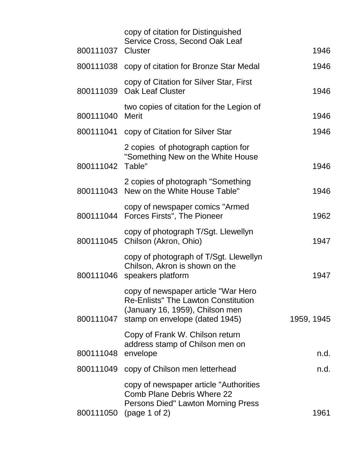| 800111037 Cluster | copy of citation for Distinguished<br>Service Cross, Second Oak Leaf                                                                                   | 1946       |
|-------------------|--------------------------------------------------------------------------------------------------------------------------------------------------------|------------|
|                   | 800111038 copy of citation for Bronze Star Medal                                                                                                       | 1946       |
|                   | copy of Citation for Silver Star, First<br>800111039 Oak Leaf Cluster                                                                                  | 1946       |
| 800111040         | two copies of citation for the Legion of<br>Merit                                                                                                      | 1946       |
|                   | 800111041 copy of Citation for Silver Star                                                                                                             | 1946       |
| 800111042 Table"  | 2 copies of photograph caption for<br>"Something New on the White House                                                                                | 1946       |
|                   | 2 copies of photograph "Something"<br>800111043 New on the White House Table"                                                                          | 1946       |
|                   | copy of newspaper comics "Armed"<br>800111044 Forces Firsts", The Pioneer                                                                              | 1962       |
|                   | copy of photograph T/Sgt. Llewellyn<br>800111045 Chilson (Akron, Ohio)                                                                                 | 1947       |
| 800111046         | copy of photograph of T/Sgt. Llewellyn<br>Chilson, Akron is shown on the<br>speakers platform                                                          | 1947       |
| 800111047         | copy of newspaper article "War Hero<br><b>Re-Enlists" The Lawton Constitution</b><br>(January 16, 1959), Chilson men<br>stamp on envelope (dated 1945) | 1959, 1945 |
| 800111048         | Copy of Frank W. Chilson return<br>address stamp of Chilson men on<br>envelope                                                                         | n.d.       |
| 800111049         | copy of Chilson men letterhead                                                                                                                         | n.d.       |
| 800111050         | copy of newspaper article "Authorities"<br><b>Comb Plane Debris Where 22</b><br>Persons Died" Lawton Morning Press<br>(page 1 of 2)                    | 1961       |
|                   |                                                                                                                                                        |            |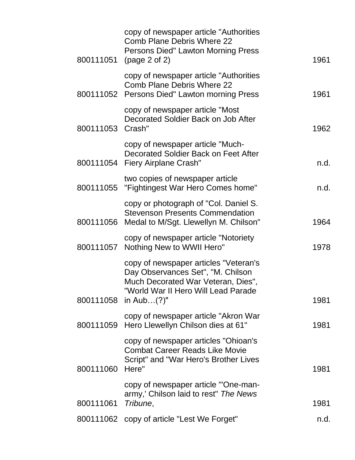| copy of newspaper article "Authorities"<br><b>Comb Plane Debris Where 22</b><br><b>Persons Died" Lawton Morning Press</b><br>(page 2 of 2)              | 1961           |
|---------------------------------------------------------------------------------------------------------------------------------------------------------|----------------|
| copy of newspaper article "Authorities"<br><b>Comb Plane Debris Where 22</b><br>800111052 Persons Died" Lawton morning Press                            | 1961           |
| copy of newspaper article "Most"<br>Decorated Soldier Back on Job After<br>800111053 Crash"                                                             | 1962           |
| copy of newspaper article "Much-<br>Decorated Soldier Back on Feet After<br>800111054 Fiery Airplane Crash"                                             | n.d.           |
| two copies of newspaper article<br>"Fightingest War Hero Comes home"                                                                                    | n.d.           |
| copy or photograph of "Col. Daniel S.<br><b>Stevenson Presents Commendation</b><br>800111056 Medal to M/Sgt. Llewellyn M. Chilson"                      | 1964           |
| copy of newspaper article "Notoriety"<br>Nothing New to WWII Hero"<br>800111057                                                                         | 1978           |
| copy of newspaper articles "Veteran's<br>Day Observances Set", "M. Chilson<br>Much Decorated War Veteran, Dies",<br>"World War II Hero Will Lead Parade | 1981           |
| copy of newspaper article "Akron War<br>Hero Llewellyn Chilson dies at 61"                                                                              | 1981           |
| copy of newspaper articles "Ohioan's<br><b>Combat Career Reads Like Movie</b><br>Script" and "War Hero's Brother Lives<br>Here"                         | 1981           |
| copy of newspaper article "'One-man-<br>army,' Chilson laid to rest" The News<br>Tribune,                                                               | 1981           |
| 800111062 copy of article "Lest We Forget"                                                                                                              | n.d.           |
|                                                                                                                                                         | in Aub $(?)$ " |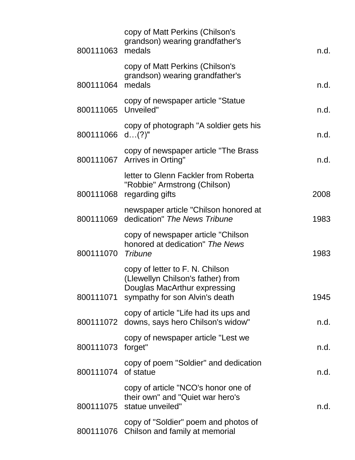| 800111063 medals    | copy of Matt Perkins (Chilson's<br>grandson) wearing grandfather's                                                                               | n.d. |
|---------------------|--------------------------------------------------------------------------------------------------------------------------------------------------|------|
| 800111064           | copy of Matt Perkins (Chilson's<br>grandson) wearing grandfather's<br>medals                                                                     | n.d. |
| 800111065 Unveiled" | copy of newspaper article "Statue                                                                                                                | n.d. |
| 800111066 d(?)"     | copy of photograph "A soldier gets his                                                                                                           | n.d. |
|                     | copy of newspaper article "The Brass<br>800111067 Arrives in Orting"                                                                             | n.d. |
|                     | letter to Glenn Fackler from Roberta<br>"Robbie" Armstrong (Chilson)<br>800111068 regarding gifts                                                | 2008 |
|                     | newspaper article "Chilson honored at<br>800111069 dedication" The News Tribune                                                                  | 1983 |
| 800111070 Tribune   | copy of newspaper article "Chilson"<br>honored at dedication" The News                                                                           | 1983 |
|                     | copy of letter to F. N. Chilson<br>(Llewellyn Chilson's father) from<br>Douglas MacArthur expressing<br>800111071 sympathy for son Alvin's death | 1945 |
|                     | copy of article "Life had its ups and<br>800111072 downs, says hero Chilson's widow"                                                             | n.d. |
| 800111073 forget"   | copy of newspaper article "Lest we                                                                                                               | n.d. |
| 800111074 of statue | copy of poem "Soldier" and dedication                                                                                                            | n.d. |
|                     | copy of article "NCO's honor one of<br>their own" and "Quiet war hero's<br>800111075 statue unveiled"                                            | n.d. |
|                     | copy of "Soldier" poem and photos of<br>800111076 Chilson and family at memorial                                                                 |      |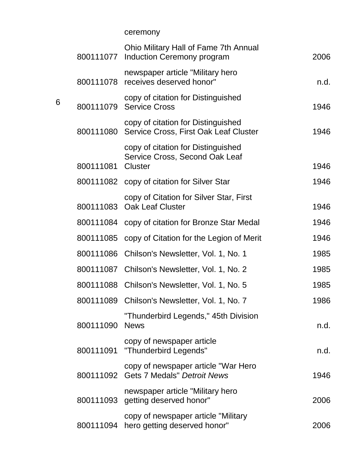ceremony

| 800111077 | Ohio Military Hall of Fame 7th Annual<br>Induction Ceremony program                    | 2006 |
|-----------|----------------------------------------------------------------------------------------|------|
| 800111078 | newspaper article "Military hero<br>receives deserved honor"                           | n.d. |
|           | copy of citation for Distinguished<br>800111079 Service Cross                          | 1946 |
| 800111080 | copy of citation for Distinguished<br>Service Cross, First Oak Leaf Cluster            | 1946 |
| 800111081 | copy of citation for Distinguished<br>Service Cross, Second Oak Leaf<br><b>Cluster</b> | 1946 |
|           | 800111082 copy of citation for Silver Star                                             | 1946 |
| 800111083 | copy of Citation for Silver Star, First<br><b>Oak Leaf Cluster</b>                     | 1946 |
|           | 800111084 copy of citation for Bronze Star Medal                                       | 1946 |
| 800111085 | copy of Citation for the Legion of Merit                                               | 1946 |
| 800111086 | Chilson's Newsletter, Vol. 1, No. 1                                                    | 1985 |
| 800111087 | Chilson's Newsletter, Vol. 1, No. 2                                                    | 1985 |
| 800111088 | Chilson's Newsletter, Vol. 1, No. 5                                                    | 1985 |
| 800111089 | Chilson's Newsletter, Vol. 1, No. 7                                                    | 1986 |
| 800111090 | "Thunderbird Legends," 45th Division<br><b>News</b>                                    | n.d. |
| 800111091 | copy of newspaper article<br>"Thunderbird Legends"                                     | n.d. |
|           | copy of newspaper article "War Hero<br>800111092 Gets 7 Medals" Detroit News           | 1946 |
|           | newspaper article "Military hero<br>800111093 getting deserved honor"                  | 2006 |
| 800111094 | copy of newspaper article "Military"<br>hero getting deserved honor"                   | 2006 |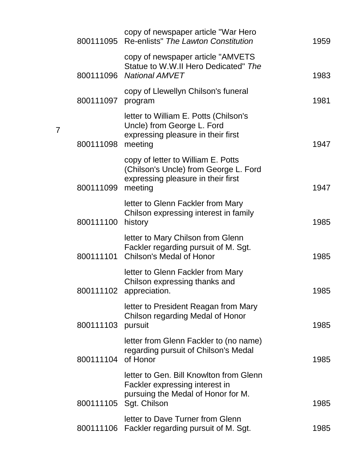| 800111095 | copy of newspaper article "War Hero<br>Re-enlists" The Lawton Constitution                                                                | 1959 |
|-----------|-------------------------------------------------------------------------------------------------------------------------------------------|------|
| 800111096 | copy of newspaper article "AMVETS"<br>Statue to W.W.II Hero Dedicated" The<br>National AMVET                                              | 1983 |
| 800111097 | copy of Llewellyn Chilson's funeral<br>program                                                                                            | 1981 |
| 800111098 | letter to William E. Potts (Chilson's<br>Uncle) from George L. Ford<br>expressing pleasure in their first<br>meeting                      | 1947 |
| 800111099 | copy of letter to William E. Potts<br>(Chilson's Uncle) from George L. Ford<br>expressing pleasure in their first<br>meeting              | 1947 |
| 800111100 | letter to Glenn Fackler from Mary<br>Chilson expressing interest in family<br>history                                                     | 1985 |
| 800111101 | letter to Mary Chilson from Glenn<br>Fackler regarding pursuit of M. Sgt.<br><b>Chilson's Medal of Honor</b>                              | 1985 |
|           | letter to Glenn Fackler from Mary<br>Chilson expressing thanks and<br>800111102 appreciation.                                             | 1985 |
| 800111103 | letter to President Reagan from Mary<br>Chilson regarding Medal of Honor<br>pursuit                                                       | 1985 |
| 800111104 | letter from Glenn Fackler to (no name)<br>regarding pursuit of Chilson's Medal<br>of Honor                                                | 1985 |
|           | letter to Gen. Bill Knowlton from Glenn<br>Fackler expressing interest in<br>pursuing the Medal of Honor for M.<br>800111105 Sgt. Chilson | 1985 |
| 800111106 | letter to Dave Turner from Glenn<br>Fackler regarding pursuit of M. Sgt.                                                                  | 1985 |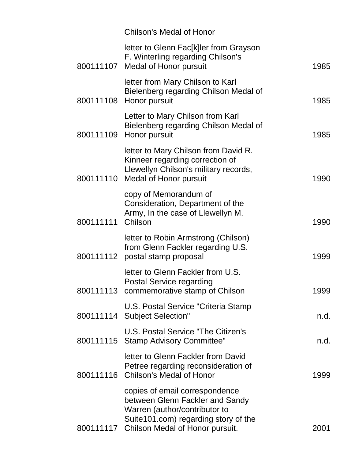|           | <b>Chilson's Medal of Honor</b>                                                                                                                                                          |      |
|-----------|------------------------------------------------------------------------------------------------------------------------------------------------------------------------------------------|------|
|           | letter to Glenn Fac[k]ler from Grayson<br>F. Winterling regarding Chilson's<br>800111107 Medal of Honor pursuit                                                                          | 1985 |
| 800111108 | letter from Mary Chilson to Karl<br>Bielenberg regarding Chilson Medal of<br>Honor pursuit                                                                                               | 1985 |
| 800111109 | Letter to Mary Chilson from Karl<br>Bielenberg regarding Chilson Medal of<br>Honor pursuit                                                                                               | 1985 |
|           | letter to Mary Chilson from David R.<br>Kinneer regarding correction of<br>Llewellyn Chilson's military records,<br>800111110 Medal of Honor pursuit                                     | 1990 |
| 800111111 | copy of Memorandum of<br>Consideration, Department of the<br>Army, In the case of Llewellyn M.<br>Chilson                                                                                | 1990 |
| 800111112 | letter to Robin Armstrong (Chilson)<br>from Glenn Fackler regarding U.S.<br>postal stamp proposal                                                                                        | 1999 |
|           | letter to Glenn Fackler from U.S.<br><b>Postal Service regarding</b><br>800111113 commemorative stamp of Chilson                                                                         | 1999 |
|           | U.S. Postal Service "Criteria Stamp"<br>800111114 Subject Selection"                                                                                                                     | n.d. |
|           | U.S. Postal Service "The Citizen's<br>800111115 Stamp Advisory Committee"                                                                                                                | n.d. |
| 800111116 | letter to Glenn Fackler from David<br>Petree regarding reconsideration of<br><b>Chilson's Medal of Honor</b>                                                                             | 1999 |
|           | copies of email correspondence<br>between Glenn Fackler and Sandy<br>Warren (author/contributor to<br>Suite 101.com) regarding story of the<br>800111117 Chilson Medal of Honor pursuit. | 2001 |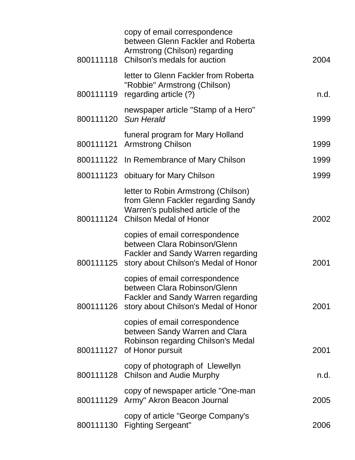|           | copy of email correspondence<br>between Glenn Fackler and Roberta<br>Armstrong (Chilson) regarding<br>800111118 Chilson's medals for auction           | 2004 |
|-----------|--------------------------------------------------------------------------------------------------------------------------------------------------------|------|
|           | letter to Glenn Fackler from Roberta<br>"Robbie" Armstrong (Chilson)<br>800111119 regarding article (?)                                                | n.d. |
|           | newspaper article "Stamp of a Hero"<br>800111120 Sun Herald                                                                                            | 1999 |
| 800111121 | funeral program for Mary Holland<br><b>Armstrong Chilson</b>                                                                                           | 1999 |
|           | 800111122 In Remembrance of Mary Chilson                                                                                                               | 1999 |
|           | 800111123 obituary for Mary Chilson                                                                                                                    | 1999 |
|           | letter to Robin Armstrong (Chilson)<br>from Glenn Fackler regarding Sandy<br>Warren's published article of the<br>800111124 Chilson Medal of Honor     | 2002 |
|           | copies of email correspondence<br>between Clara Robinson/Glenn<br>Fackler and Sandy Warren regarding<br>800111125 story about Chilson's Medal of Honor | 2001 |
| 800111126 | copies of email correspondence<br>between Clara Robinson/Glenn<br><b>Fackler and Sandy Warren regarding</b><br>story about Chilson's Medal of Honor    | 2001 |
|           | copies of email correspondence<br>between Sandy Warren and Clara<br>Robinson regarding Chilson's Medal<br>800111127 of Honor pursuit                   | 2001 |
|           | copy of photograph of Llewellyn<br>800111128 Chilson and Audie Murphy                                                                                  | n.d. |
|           | copy of newspaper article "One-man<br>800111129 Army" Akron Beacon Journal                                                                             | 2005 |
|           | copy of article "George Company's<br>800111130 Fighting Sergeant"                                                                                      | 2006 |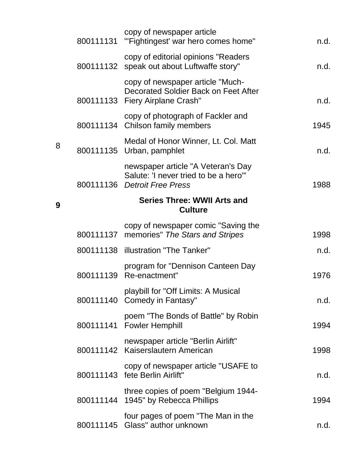|   | copy of newspaper article<br>800111131 "Fightingest' war hero comes home"                                   | n.d. |
|---|-------------------------------------------------------------------------------------------------------------|------|
|   | copy of editorial opinions "Readers<br>800111132 speak out about Luftwaffe story"                           | n.d. |
|   | copy of newspaper article "Much-<br>Decorated Soldier Back on Feet After<br>800111133 Fiery Airplane Crash" | n.d. |
|   | copy of photograph of Fackler and<br>800111134 Chilson family members                                       | 1945 |
| 8 | Medal of Honor Winner, Lt. Col. Matt<br>800111135 Urban, pamphlet                                           | n.d. |
|   | newspaper article "A Veteran's Day<br>Salute: 'I never tried to be a hero'"<br>800111136 Detroit Free Press | 1988 |
| 9 | <b>Series Three: WWII Arts and</b><br><b>Culture</b>                                                        |      |
|   | copy of newspaper comic "Saving the<br>800111137 memories" The Stars and Stripes                            | 1998 |
|   | 800111138 illustration "The Tanker"                                                                         | n.d. |
|   | program for "Dennison Canteen Day<br>800111139 Re-enactment"                                                | 1976 |
|   | playbill for "Off Limits: A Musical<br>800111140 Comedy in Fantasy"                                         | n.d. |
|   | poem "The Bonds of Battle" by Robin<br>800111141 Fowler Hemphill                                            | 1994 |
|   | newspaper article "Berlin Airlift"<br>800111142 Kaiserslautern American                                     | 1998 |
|   | copy of newspaper article "USAFE to<br>800111143 fete Berlin Airlift"                                       | n.d. |
|   | three copies of poem "Belgium 1944-<br>800111144 1945" by Rebecca Phillips                                  | 1994 |
|   | four pages of poem "The Man in the<br>800111145 Glass" author unknown                                       | n.d. |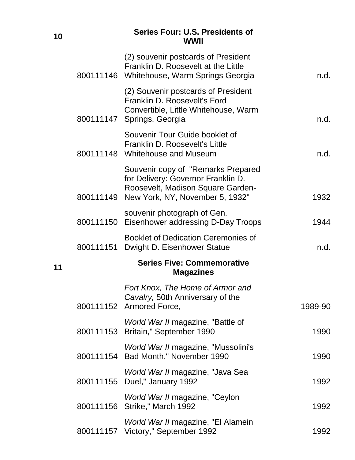#### **<sup>10</sup> Series Four: U.S. Presidents of WWII**

|    |           | (2) souvenir postcards of President<br>Franklin D. Roosevelt at the Little<br>800111146 Whitehouse, Warm Springs Georgia                                   | n.d.    |
|----|-----------|------------------------------------------------------------------------------------------------------------------------------------------------------------|---------|
|    |           | (2) Souvenir postcards of President<br>Franklin D. Roosevelt's Ford<br>Convertible, Little Whitehouse, Warm<br>800111147 Springs, Georgia                  | n.d.    |
|    |           | Souvenir Tour Guide booklet of<br>Franklin D. Roosevelt's Little<br>800111148 Whitehouse and Museum                                                        | n.d.    |
|    |           | Souvenir copy of "Remarks Prepared<br>for Delivery: Governor Franklin D.<br>Roosevelt, Madison Square Garden-<br>800111149 New York, NY, November 5, 1932" | 1932    |
|    |           | souvenir photograph of Gen.<br>800111150 Eisenhower addressing D-Day Troops                                                                                | 1944    |
|    |           | <b>Booklet of Dedication Ceremonies of</b><br>800111151 Dwight D. Eisenhower Statue                                                                        | n.d.    |
| 11 |           | <b>Series Five: Commemorative</b><br><b>Magazines</b>                                                                                                      |         |
|    | 800111152 | Fort Knox, The Home of Armor and<br>Cavalry, 50th Anniversary of the<br>Armored Force,                                                                     | 1989-90 |
|    |           | World War II magazine, "Battle of<br>800111153 Britain," September 1990                                                                                    | 1990    |
|    |           | World War II magazine, "Mussolini's<br>800111154 Bad Month," November 1990                                                                                 | 1990    |
|    |           | World War II magazine, "Java Sea<br>800111155 Duel," January 1992                                                                                          | 1992    |
|    |           | World War II magazine, "Ceylon<br>800111156 Strike," March 1992                                                                                            | 1992    |
|    |           | World War II magazine, "El Alamein<br>800111157 Victory," September 1992                                                                                   | 1992    |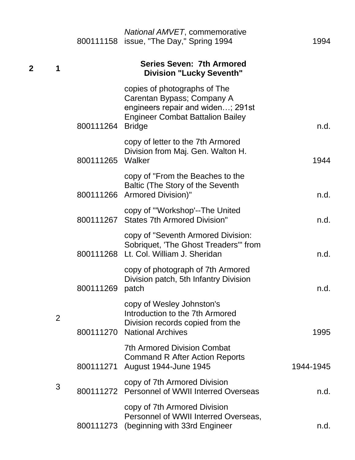|                  |                  | National AMVET, commemorative<br>800111158 issue, "The Day," Spring 1994                                                                                    | 1994      |
|------------------|------------------|-------------------------------------------------------------------------------------------------------------------------------------------------------------|-----------|
| $\mathbf 2$<br>1 |                  | <b>Series Seven: 7th Armored</b><br><b>Division "Lucky Seventh"</b>                                                                                         |           |
|                  | 800111264        | copies of photographs of The<br>Carentan Bypass; Company A<br>engineers repair and widen; 291st<br><b>Engineer Combat Battalion Bailey</b><br><b>Bridge</b> | n.d.      |
|                  | 800111265 Walker | copy of letter to the 7th Armored<br>Division from Maj. Gen. Walton H.                                                                                      | 1944      |
|                  |                  | copy of "From the Beaches to the<br>Baltic (The Story of the Seventh<br>800111266 Armored Division)"                                                        | n.d.      |
|                  |                  | copy of "Workshop'--The United<br>800111267 States 7th Armored Division"                                                                                    | n.d.      |
|                  |                  | copy of "Seventh Armored Division:<br>Sobriquet, 'The Ghost Treaders'" from<br>800111268 Lt. Col. William J. Sheridan                                       | n.d.      |
|                  | 800111269 patch  | copy of photograph of 7th Armored<br>Division patch, 5th Infantry Division                                                                                  | n.d.      |
| $\overline{2}$   | 800111270        | copy of Wesley Johnston's<br>Introduction to the 7th Armored<br>Division records copied from the<br><b>National Archives</b>                                | 1995      |
|                  | 800111271        | <b>7th Armored Division Combat</b><br><b>Command R After Action Reports</b><br>August 1944-June 1945                                                        | 1944-1945 |
| 3                |                  | copy of 7th Armored Division<br>800111272 Personnel of WWII Interred Overseas                                                                               | n.d.      |
|                  |                  | copy of 7th Armored Division<br>Personnel of WWII Interred Overseas,<br>800111273 (beginning with 33rd Engineer                                             | n.d.      |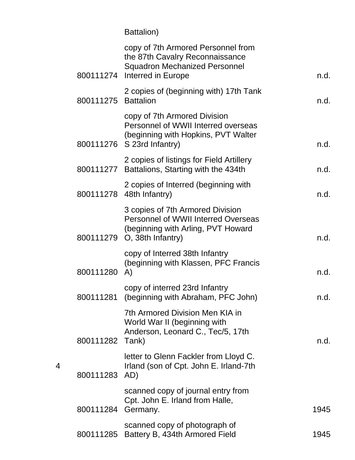Battalion)

|                     | copy of 7th Armored Personnel from<br>the 87th Cavalry Reconnaissance<br><b>Squadron Mechanized Personnel</b><br>800111274 Interred in Europe       | n.d. |
|---------------------|-----------------------------------------------------------------------------------------------------------------------------------------------------|------|
| 800111275 Battalion | 2 copies of (beginning with) 17th Tank                                                                                                              | n.d. |
|                     | copy of 7th Armored Division<br>Personnel of WWII Interred overseas<br>(beginning with Hopkins, PVT Walter<br>800111276 S 23rd Infantry)            | n.d. |
|                     | 2 copies of listings for Field Artillery<br>800111277 Battalions, Starting with the 434th                                                           | n.d. |
|                     | 2 copies of Interred (beginning with<br>800111278 48th Infantry)                                                                                    | n.d. |
|                     | 3 copies of 7th Armored Division<br><b>Personnel of WWII Interred Overseas</b><br>(beginning with Arling, PVT Howard<br>800111279 O, 38th Infantry) | n.d. |
| 800111280           | copy of Interred 38th Infantry<br>(beginning with Klassen, PFC Francis<br>$\mathsf{A}$                                                              | n.d. |
| 800111281           | copy of interred 23rd Infantry<br>(beginning with Abraham, PFC John)                                                                                | n.d. |
| 800111282 Tank)     | 7th Armored Division Men KIA in<br>World War II (beginning with<br>Anderson, Leonard C., Tec/5, 17th                                                | n.d. |
| 800111283 AD)       | letter to Glenn Fackler from Lloyd C.<br>Irland (son of Cpt. John E. Irland-7th                                                                     |      |
| 800111284 Germany.  | scanned copy of journal entry from<br>Cpt. John E. Irland from Halle,                                                                               | 1945 |
| 800111285           | scanned copy of photograph of<br>Battery B, 434th Armored Field                                                                                     | 1945 |
|                     |                                                                                                                                                     |      |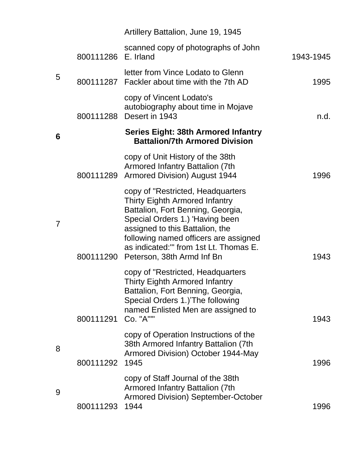|   |                     | Artillery Battalion, June 19, 1945                                                                                                                                                                                                                                                                               |           |
|---|---------------------|------------------------------------------------------------------------------------------------------------------------------------------------------------------------------------------------------------------------------------------------------------------------------------------------------------------|-----------|
|   | 800111286 E. Irland | scanned copy of photographs of John                                                                                                                                                                                                                                                                              | 1943-1945 |
| 5 |                     | letter from Vince Lodato to Glenn<br>800111287 Fackler about time with the 7th AD                                                                                                                                                                                                                                | 1995      |
|   | 800111288           | copy of Vincent Lodato's<br>autobiography about time in Mojave<br>Desert in 1943                                                                                                                                                                                                                                 | n.d.      |
| 6 |                     | <b>Series Eight: 38th Armored Infantry</b><br><b>Battalion/7th Armored Division</b>                                                                                                                                                                                                                              |           |
|   | 800111289           | copy of Unit History of the 38th<br>Armored Infantry Battalion (7th<br><b>Armored Division) August 1944</b>                                                                                                                                                                                                      | 1996      |
| 7 |                     | copy of "Restricted, Headquarters"<br><b>Thirty Eighth Armored Infantry</b><br>Battalion, Fort Benning, Georgia,<br>Special Orders 1.) 'Having been<br>assigned to this Battalion, the<br>following named officers are assigned<br>as indicated:" from 1st Lt. Thomas E.<br>800111290 Peterson, 38th Armd Inf Bn | 1943      |
|   | 800111291           | copy of "Restricted, Headquarters"<br><b>Thirty Eighth Armored Infantry</b><br>Battalion, Fort Benning, Georgia,<br>Special Orders 1.)'The following<br>named Enlisted Men are assigned to<br>Co. "A""                                                                                                           | 1943      |
| 8 | 800111292           | copy of Operation Instructions of the<br>38th Armored Infantry Battalion (7th<br>Armored Division) October 1944-May<br>1945                                                                                                                                                                                      | 1996      |
| 9 | 800111293           | copy of Staff Journal of the 38th<br><b>Armored Infantry Battalion (7th</b><br><b>Armored Division) September-October</b><br>1944                                                                                                                                                                                | 1996      |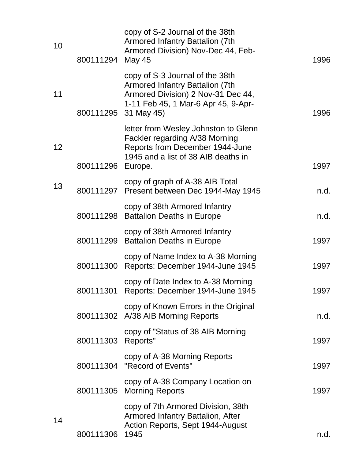| copy of S-3 Journal of the 38th<br><b>Armored Infantry Battalion (7th</b><br>11<br>Armored Division) 2 Nov-31 Dec 44,<br>1-11 Feb 45, 1 Mar-6 Apr 45, 9-Apr-<br>800111295 31 May 45)<br>1996<br>letter from Wesley Johnston to Glenn<br>Fackler regarding A/38 Morning<br>Reports from December 1944-June<br>12<br>1945 and a list of 38 AIB deaths in<br>800111296<br>1997<br>Europe.<br>copy of graph of A-38 AIB Total<br>13<br>800111297 Present between Dec 1944-May 1945 | 1996 |
|--------------------------------------------------------------------------------------------------------------------------------------------------------------------------------------------------------------------------------------------------------------------------------------------------------------------------------------------------------------------------------------------------------------------------------------------------------------------------------|------|
|                                                                                                                                                                                                                                                                                                                                                                                                                                                                                |      |
|                                                                                                                                                                                                                                                                                                                                                                                                                                                                                |      |
|                                                                                                                                                                                                                                                                                                                                                                                                                                                                                | n.d. |
| copy of 38th Armored Infantry<br>800111298 Battalion Deaths in Europe                                                                                                                                                                                                                                                                                                                                                                                                          | n.d. |
| copy of 38th Armored Infantry<br>800111299 Battalion Deaths in Europe<br>1997                                                                                                                                                                                                                                                                                                                                                                                                  |      |
| copy of Name Index to A-38 Morning<br>800111300 Reports: December 1944-June 1945<br>1997                                                                                                                                                                                                                                                                                                                                                                                       |      |
| copy of Date Index to A-38 Morning<br>1997<br>800111301 Reports: December 1944-June 1945                                                                                                                                                                                                                                                                                                                                                                                       |      |
| copy of Known Errors in the Original<br>800111302 A/38 AIB Morning Reports                                                                                                                                                                                                                                                                                                                                                                                                     | n.d. |
| copy of "Status of 38 AIB Morning"<br>800111303 Reports"<br>1997                                                                                                                                                                                                                                                                                                                                                                                                               |      |
| copy of A-38 Morning Reports<br>800111304 "Record of Events"<br>1997                                                                                                                                                                                                                                                                                                                                                                                                           |      |
| copy of A-38 Company Location on<br>800111305 Morning Reports<br>1997                                                                                                                                                                                                                                                                                                                                                                                                          |      |
| copy of 7th Armored Division, 38th<br><b>Armored Infantry Battalion, After</b><br>14<br>Action Reports, Sept 1944-August<br>800111306<br>1945                                                                                                                                                                                                                                                                                                                                  | n.d. |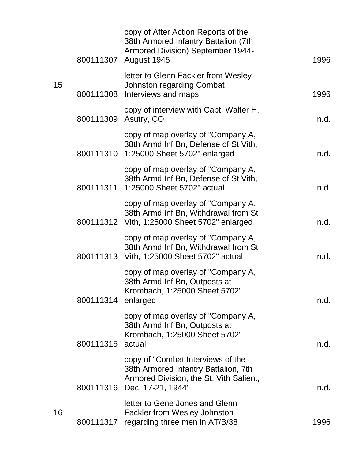|    |                      | copy of After Action Reports of the<br>38th Armored Infantry Battalion (7th<br>Armored Division) September 1944-<br>800111307 August 1945           | 1996 |
|----|----------------------|-----------------------------------------------------------------------------------------------------------------------------------------------------|------|
| 15 |                      | letter to Glenn Fackler from Wesley<br><b>Johnston regarding Combat</b><br>800111308 Interviews and maps                                            | 1996 |
|    | 800111309 Asutry, CO | copy of interview with Capt. Walter H.                                                                                                              | n.d. |
|    |                      | copy of map overlay of "Company A,<br>38th Armd Inf Bn, Defense of St Vith,<br>800111310 1:25000 Sheet 5702" enlarged                               | n.d. |
|    |                      | copy of map overlay of "Company A,<br>38th Armd Inf Bn, Defense of St Vith,<br>800111311 1:25000 Sheet 5702" actual                                 | n.d. |
|    |                      | copy of map overlay of "Company A,<br>38th Armd Inf Bn, Withdrawal from St<br>800111312 Vith, 1:25000 Sheet 5702" enlarged                          | n.d. |
|    |                      | copy of map overlay of "Company A,<br>38th Armd Inf Bn, Withdrawal from St<br>800111313 Vith, 1:25000 Sheet 5702" actual                            | n.d. |
|    | 800111314            | copy of map overlay of "Company A,<br>38th Armd Inf Bn, Outposts at<br>Krombach, 1:25000 Sheet 5702"<br>enlarged                                    | n.d. |
|    | 800111315            | copy of map overlay of "Company A,<br>38th Armd Inf Bn, Outposts at<br>Krombach, 1:25000 Sheet 5702"<br>actual                                      | n.d. |
|    |                      | copy of "Combat Interviews of the<br>38th Armored Infantry Battalion, 7th<br>Armored Division, the St. Vith Salient,<br>800111316 Dec. 17-21, 1944" | n.d. |
| 16 |                      | letter to Gene Jones and Glenn<br><b>Fackler from Wesley Johnston</b><br>800111317 regarding three men in AT/B/38                                   | 1996 |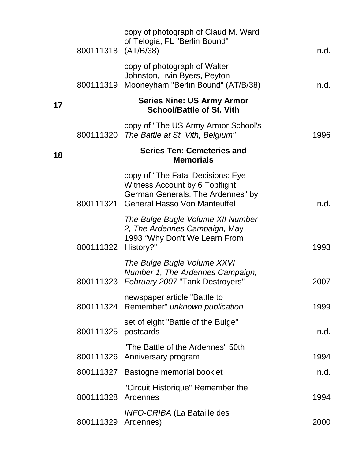|    | 800111318 (AT/B/38) | copy of photograph of Claud M. Ward<br>of Telogia, FL "Berlin Bound"                                                                               | n.d. |
|----|---------------------|----------------------------------------------------------------------------------------------------------------------------------------------------|------|
|    |                     | copy of photograph of Walter<br>Johnston, Irvin Byers, Peyton<br>800111319 Mooneyham "Berlin Bound" (AT/B/38)                                      | n.d. |
| 17 |                     | <b>Series Nine: US Army Armor</b><br><b>School/Battle of St. Vith</b>                                                                              |      |
|    |                     | copy of "The US Army Armor School's<br>800111320 The Battle at St. Vith, Belgium"                                                                  | 1996 |
| 18 |                     | <b>Series Ten: Cemeteries and</b><br><b>Memorials</b>                                                                                              |      |
|    |                     | copy of "The Fatal Decisions: Eye<br>Witness Account by 6 Topflight<br>German Generals, The Ardennes" by<br>800111321 General Hasso Von Manteuffel | n.d. |
|    | 800111322           | The Bulge Bugle Volume XII Number<br>2, The Ardennes Campaign, May<br>1993 "Why Don't We Learn From<br>History?"                                   | 1993 |
|    | 800111323           | The Bulge Bugle Volume XXVI<br>Number 1, The Ardennes Campaign,<br>February 2007 "Tank Destroyers"                                                 | 2007 |
|    |                     | newspaper article "Battle to<br>800111324 Remember" unknown publication                                                                            | 1999 |
|    | 800111325           | set of eight "Battle of the Bulge"<br>postcards                                                                                                    | n.d. |
|    |                     | "The Battle of the Ardennes" 50th<br>800111326 Anniversary program                                                                                 | 1994 |
|    |                     | 800111327 Bastogne memorial booklet                                                                                                                | n.d. |
|    | 800111328           | "Circuit Historique" Remember the<br>Ardennes                                                                                                      | 1994 |
|    | 800111329 Ardennes) | <b>INFO-CRIBA (La Bataille des</b>                                                                                                                 | 2000 |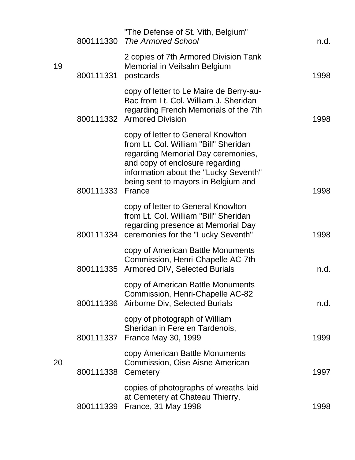|    | 800111330 | "The Defense of St. Vith, Belgium"<br><b>The Armored School</b>                                                                                                                                                                                | n.d. |
|----|-----------|------------------------------------------------------------------------------------------------------------------------------------------------------------------------------------------------------------------------------------------------|------|
| 19 | 800111331 | 2 copies of 7th Armored Division Tank<br>Memorial in Veilsalm Belgium<br>postcards                                                                                                                                                             | 1998 |
|    |           | copy of letter to Le Maire de Berry-au-<br>Bac from Lt. Col. William J. Sheridan<br>regarding French Memorials of the 7th<br>800111332 Armored Division                                                                                        | 1998 |
|    | 800111333 | copy of letter to General Knowlton<br>from Lt. Col. William "Bill" Sheridan<br>regarding Memorial Day ceremonies,<br>and copy of enclosure regarding<br>information about the "Lucky Seventh"<br>being sent to mayors in Belgium and<br>France | 1998 |
|    |           | copy of letter to General Knowlton<br>from Lt. Col. William "Bill" Sheridan<br>regarding presence at Memorial Day<br>800111334 ceremonies for the "Lucky Seventh"                                                                              | 1998 |
|    |           | copy of American Battle Monuments<br>Commission, Henri-Chapelle AC-7th<br>800111335 Armored DIV, Selected Burials                                                                                                                              | n.d. |
|    | 800111336 | copy of American Battle Monuments<br>Commission, Henri-Chapelle AC-82<br>Airborne Div, Selected Burials                                                                                                                                        | n.d. |
|    | 800111337 | copy of photograph of William<br>Sheridan in Fere en Tardenois,<br><b>France May 30, 1999</b>                                                                                                                                                  | 1999 |
| 20 | 800111338 | copy American Battle Monuments<br>Commission, Oise Aisne American<br>Cemetery                                                                                                                                                                  | 1997 |
|    | 800111339 | copies of photographs of wreaths laid<br>at Cemetery at Chateau Thierry,<br>France, 31 May 1998                                                                                                                                                | 1998 |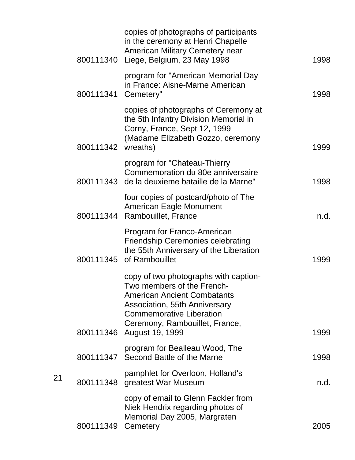|                    | copies of photographs of participants<br>in the ceremony at Henri Chapelle<br><b>American Military Cemetery near</b><br>800111340 Liege, Belgium, 23 May 1998                                                                                | 1998 |
|--------------------|----------------------------------------------------------------------------------------------------------------------------------------------------------------------------------------------------------------------------------------------|------|
| 800111341          | program for "American Memorial Day<br>in France: Aisne-Marne American<br>Cemetery"                                                                                                                                                           | 1998 |
| 800111342 wreaths) | copies of photographs of Ceremony at<br>the 5th Infantry Division Memorial in<br>Corny, France, Sept 12, 1999<br>(Madame Elizabeth Gozzo, ceremony                                                                                           | 1999 |
|                    | program for "Chateau-Thierry<br>Commemoration du 80e anniversaire<br>800111343 de la deuxieme bataille de la Marne"                                                                                                                          | 1998 |
|                    | four copies of postcard/photo of The<br><b>American Eagle Monument</b><br>800111344 Rambouillet, France                                                                                                                                      | n.d. |
|                    | Program for Franco-American<br><b>Friendship Ceremonies celebrating</b><br>the 55th Anniversary of the Liberation<br>800111345 of Rambouillet                                                                                                | 1999 |
|                    | copy of two photographs with caption-<br>Two members of the French-<br><b>American Ancient Combatants</b><br>Association, 55th Anniversary<br><b>Commemorative Liberation</b><br>Ceremony, Rambouillet, France,<br>800111346 August 19, 1999 | 1999 |
|                    | program for Bealleau Wood, The<br>800111347 Second Battle of the Marne                                                                                                                                                                       | 1998 |
|                    | pamphlet for Overloon, Holland's<br>800111348 greatest War Museum                                                                                                                                                                            | n.d. |
| 800111349          | copy of email to Glenn Fackler from<br>Niek Hendrix regarding photos of<br>Memorial Day 2005, Margraten<br>Cemetery                                                                                                                          | 2005 |